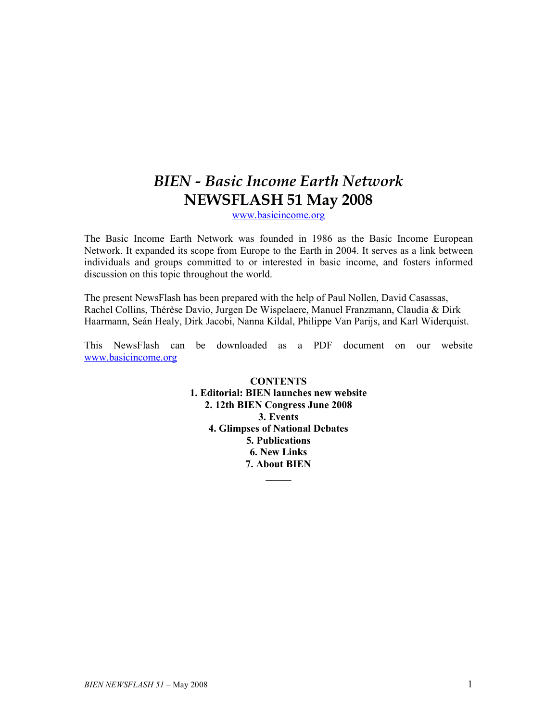# BIEN - Basic Income Earth Network NEWSFLASH 51 May 2008

www.basicincome.org

The Basic Income Earth Network was founded in 1986 as the Basic Income European Network. It expanded its scope from Europe to the Earth in 2004. It serves as a link between individuals and groups committed to or interested in basic income, and fosters informed discussion on this topic throughout the world.

The present NewsFlash has been prepared with the help of Paul Nollen, David Casassas, Rachel Collins, Thérèse Davio, Jurgen De Wispelaere, Manuel Franzmann, Claudia & Dirk Haarmann, Seán Healy, Dirk Jacobi, Nanna Kildal, Philippe Van Parijs, and Karl Widerquist.

This NewsFlash can be downloaded as a PDF document on our website www.basicincome.org

> **CONTENTS** 1. Editorial: BIEN launches new website 2. 12th BIEN Congress June 2008 3. Events 4. Glimpses of National Debates 5. Publications 6. New Links 7. About BIEN

> > $\frac{1}{2}$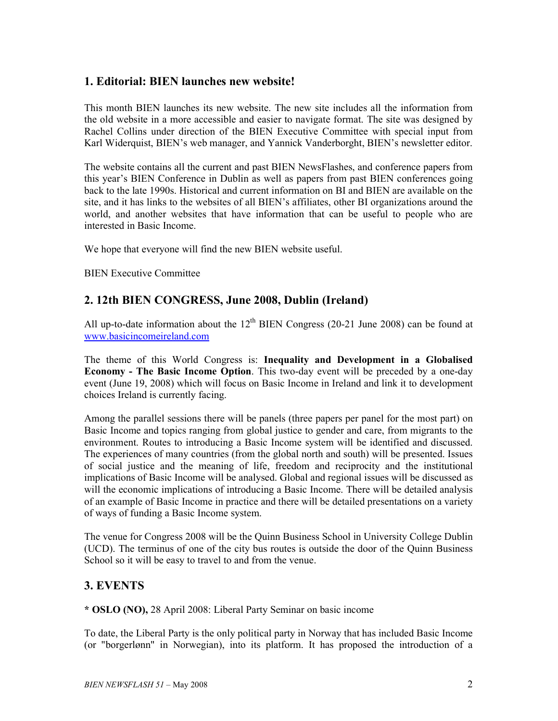## 1. Editorial: BIEN launches new website!

This month BIEN launches its new website. The new site includes all the information from the old website in a more accessible and easier to navigate format. The site was designed by Rachel Collins under direction of the BIEN Executive Committee with special input from Karl Widerquist, BIEN's web manager, and Yannick Vanderborght, BIEN's newsletter editor.

The website contains all the current and past BIEN NewsFlashes, and conference papers from this year's BIEN Conference in Dublin as well as papers from past BIEN conferences going back to the late 1990s. Historical and current information on BI and BIEN are available on the site, and it has links to the websites of all BIEN's affiliates, other BI organizations around the world, and another websites that have information that can be useful to people who are interested in Basic Income.

We hope that everyone will find the new BIEN website useful.

BIEN Executive Committee

## 2. 12th BIEN CONGRESS, June 2008, Dublin (Ireland)

All up-to-date information about the  $12<sup>th</sup>$  BIEN Congress (20-21 June 2008) can be found at www.basicincomeireland.com

The theme of this World Congress is: Inequality and Development in a Globalised Economy - The Basic Income Option. This two-day event will be preceded by a one-day event (June 19, 2008) which will focus on Basic Income in Ireland and link it to development choices Ireland is currently facing.

Among the parallel sessions there will be panels (three papers per panel for the most part) on Basic Income and topics ranging from global justice to gender and care, from migrants to the environment. Routes to introducing a Basic Income system will be identified and discussed. The experiences of many countries (from the global north and south) will be presented. Issues of social justice and the meaning of life, freedom and reciprocity and the institutional implications of Basic Income will be analysed. Global and regional issues will be discussed as will the economic implications of introducing a Basic Income. There will be detailed analysis of an example of Basic Income in practice and there will be detailed presentations on a variety of ways of funding a Basic Income system.

The venue for Congress 2008 will be the Quinn Business School in University College Dublin (UCD). The terminus of one of the city bus routes is outside the door of the Quinn Business School so it will be easy to travel to and from the venue.

## 3. EVENTS

\* OSLO (NO), 28 April 2008: Liberal Party Seminar on basic income

To date, the Liberal Party is the only political party in Norway that has included Basic Income (or "borgerlønn" in Norwegian), into its platform. It has proposed the introduction of a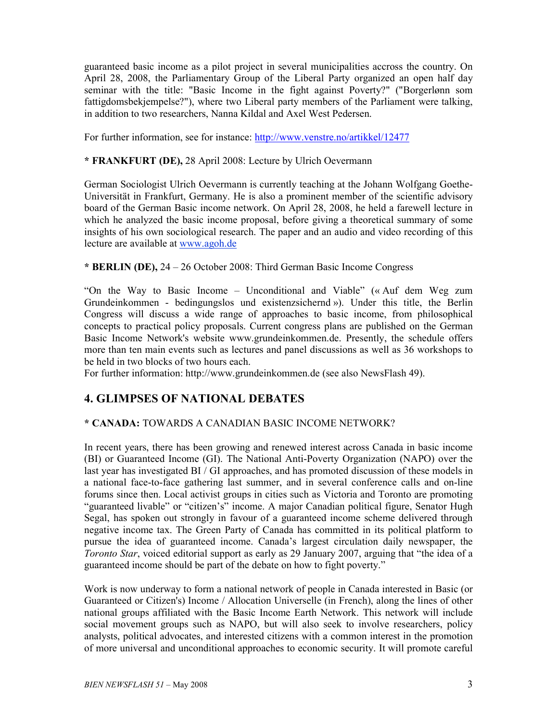guaranteed basic income as a pilot project in several municipalities accross the country. On April 28, 2008, the Parliamentary Group of the Liberal Party organized an open half day seminar with the title: "Basic Income in the fight against Poverty?" ("Borgerlønn som fattigdomsbekjempelse?"), where two Liberal party members of the Parliament were talking, in addition to two researchers, Nanna Kildal and Axel West Pedersen.

For further information, see for instance: http://www.venstre.no/artikkel/12477

## \* FRANKFURT (DE), 28 April 2008: Lecture by Ulrich Oevermann

German Sociologist Ulrich Oevermann is currently teaching at the Johann Wolfgang Goethe-Universität in Frankfurt, Germany. He is also a prominent member of the scientific advisory board of the German Basic income network. On April 28, 2008, he held a farewell lecture in which he analyzed the basic income proposal, before giving a theoretical summary of some insights of his own sociological research. The paper and an audio and video recording of this lecture are available at www.agoh.de

#### \* BERLIN (DE), 24 – 26 October 2008: Third German Basic Income Congress

"On the Way to Basic Income – Unconditional and Viable" (« Auf dem Weg zum Grundeinkommen - bedingungslos und existenzsichernd »). Under this title, the Berlin Congress will discuss a wide range of approaches to basic income, from philosophical concepts to practical policy proposals. Current congress plans are published on the German Basic Income Network's website www.grundeinkommen.de. Presently, the schedule offers more than ten main events such as lectures and panel discussions as well as 36 workshops to be held in two blocks of two hours each.

For further information: http://www.grundeinkommen.de (see also NewsFlash 49).

## 4. GLIMPSES OF NATIONAL DEBATES

## \* CANADA: TOWARDS A CANADIAN BASIC INCOME NETWORK?

In recent years, there has been growing and renewed interest across Canada in basic income (BI) or Guaranteed Income (GI). The National Anti-Poverty Organization (NAPO) over the last year has investigated BI / GI approaches, and has promoted discussion of these models in a national face-to-face gathering last summer, and in several conference calls and on-line forums since then. Local activist groups in cities such as Victoria and Toronto are promoting "guaranteed livable" or "citizen's" income. A major Canadian political figure, Senator Hugh Segal, has spoken out strongly in favour of a guaranteed income scheme delivered through negative income tax. The Green Party of Canada has committed in its political platform to pursue the idea of guaranteed income. Canada's largest circulation daily newspaper, the Toronto Star, voiced editorial support as early as 29 January 2007, arguing that "the idea of a guaranteed income should be part of the debate on how to fight poverty."

Work is now underway to form a national network of people in Canada interested in Basic (or Guaranteed or Citizen's) Income / Allocation Universelle (in French), along the lines of other national groups affiliated with the Basic Income Earth Network. This network will include social movement groups such as NAPO, but will also seek to involve researchers, policy analysts, political advocates, and interested citizens with a common interest in the promotion of more universal and unconditional approaches to economic security. It will promote careful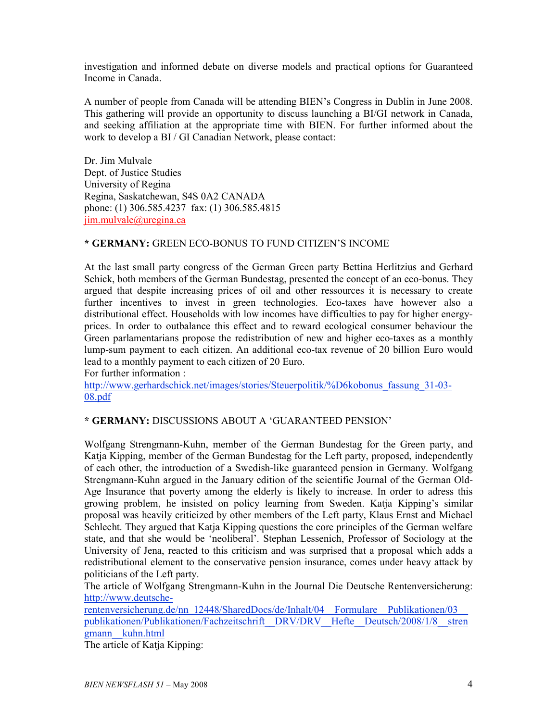investigation and informed debate on diverse models and practical options for Guaranteed Income in Canada.

A number of people from Canada will be attending BIEN's Congress in Dublin in June 2008. This gathering will provide an opportunity to discuss launching a BI/GI network in Canada, and seeking affiliation at the appropriate time with BIEN. For further informed about the work to develop a BI / GI Canadian Network, please contact:

Dr. Jim Mulvale Dept. of Justice Studies University of Regina Regina, Saskatchewan, S4S 0A2 CANADA phone: (1) 306.585.4237 fax: (1) 306.585.4815 jim.mulvale@uregina.ca

#### \* GERMANY: GREEN ECO-BONUS TO FUND CITIZEN'S INCOME

At the last small party congress of the German Green party Bettina Herlitzius and Gerhard Schick, both members of the German Bundestag, presented the concept of an eco-bonus. They argued that despite increasing prices of oil and other ressources it is necessary to create further incentives to invest in green technologies. Eco-taxes have however also a distributional effect. Households with low incomes have difficulties to pay for higher energyprices. In order to outbalance this effect and to reward ecological consumer behaviour the Green parlamentarians propose the redistribution of new and higher eco-taxes as a monthly lump-sum payment to each citizen. An additional eco-tax revenue of 20 billion Euro would lead to a monthly payment to each citizen of 20 Euro.

For further information :

http://www.gerhardschick.net/images/stories/Steuerpolitik/%D6kobonus\_fassung\_31-03- 08.pdf

## \* GERMANY: DISCUSSIONS ABOUT A 'GUARANTEED PENSION'

Wolfgang Strengmann-Kuhn, member of the German Bundestag for the Green party, and Katja Kipping, member of the German Bundestag for the Left party, proposed, independently of each other, the introduction of a Swedish-like guaranteed pension in Germany. Wolfgang Strengmann-Kuhn argued in the January edition of the scientific Journal of the German Old-Age Insurance that poverty among the elderly is likely to increase. In order to adress this growing problem, he insisted on policy learning from Sweden. Katja Kipping's similar proposal was heavily criticized by other members of the Left party, Klaus Ernst and Michael Schlecht. They argued that Katja Kipping questions the core principles of the German welfare state, and that she would be 'neoliberal'. Stephan Lessenich, Professor of Sociology at the University of Jena, reacted to this criticism and was surprised that a proposal which adds a redistributional element to the conservative pension insurance, comes under heavy attack by politicians of the Left party.

The article of Wolfgang Strengmann-Kuhn in the Journal Die Deutsche Rentenversicherung: http://www.deutsche-

rentenversicherung.de/nn\_12448/SharedDocs/de/Inhalt/04\_\_Formulare\_\_Publikationen/03\_\_ publikationen/Publikationen/Fachzeitschrift\_\_DRV/DRV\_\_Hefte\_\_Deutsch/2008/1/8\_\_stren gmann\_\_kuhn.html

The article of Katja Kipping: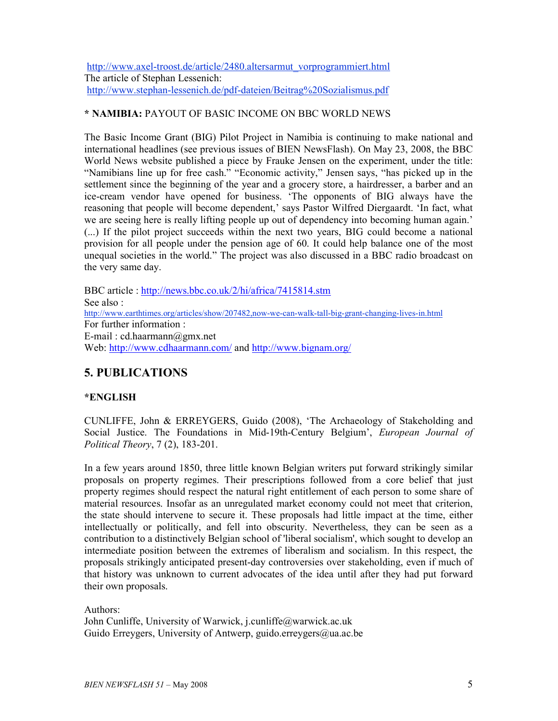http://www.axel-troost.de/article/2480.altersarmut\_vorprogrammiert.html The article of Stephan Lessenich: http://www.stephan-lessenich.de/pdf-dateien/Beitrag%20Sozialismus.pdf

## \* NAMIBIA: PAYOUT OF BASIC INCOME ON BBC WORLD NEWS

The Basic Income Grant (BIG) Pilot Project in Namibia is continuing to make national and international headlines (see previous issues of BIEN NewsFlash). On May 23, 2008, the BBC World News website published a piece by Frauke Jensen on the experiment, under the title: "Namibians line up for free cash." "Economic activity," Jensen says, "has picked up in the settlement since the beginning of the year and a grocery store, a hairdresser, a barber and an ice-cream vendor have opened for business. 'The opponents of BIG always have the reasoning that people will become dependent,' says Pastor Wilfred Diergaardt. 'In fact, what we are seeing here is really lifting people up out of dependency into becoming human again.' (...) If the pilot project succeeds within the next two years, BIG could become a national provision for all people under the pension age of 60. It could help balance one of the most unequal societies in the world." The project was also discussed in a BBC radio broadcast on the very same day.

BBC article : http://news.bbc.co.uk/2/hi/africa/7415814.stm See also : http://www.earthtimes.org/articles/show/207482,now-we-can-walk-tall-big-grant-changing-lives-in.html For further information : E-mail : cd.haarmann@gmx.net Web: http://www.cdhaarmann.com/ and http://www.bignam.org/

## 5. PUBLICATIONS

## \*ENGLISH

CUNLIFFE, John & ERREYGERS, Guido (2008), 'The Archaeology of Stakeholding and Social Justice. The Foundations in Mid-19th-Century Belgium', European Journal of Political Theory, 7 (2), 183-201.

In a few years around 1850, three little known Belgian writers put forward strikingly similar proposals on property regimes. Their prescriptions followed from a core belief that just property regimes should respect the natural right entitlement of each person to some share of material resources. Insofar as an unregulated market economy could not meet that criterion, the state should intervene to secure it. These proposals had little impact at the time, either intellectually or politically, and fell into obscurity. Nevertheless, they can be seen as a contribution to a distinctively Belgian school of 'liberal socialism', which sought to develop an intermediate position between the extremes of liberalism and socialism. In this respect, the proposals strikingly anticipated present-day controversies over stakeholding, even if much of that history was unknown to current advocates of the idea until after they had put forward their own proposals.

Authors: John Cunliffe, University of Warwick, j.cunliffe@warwick.ac.uk Guido Erreygers, University of Antwerp, guido.erreygers@ua.ac.be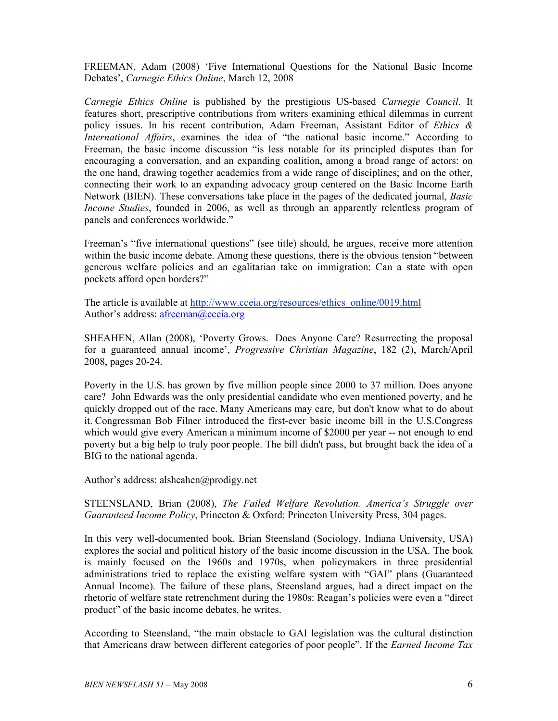FREEMAN, Adam (2008) 'Five International Questions for the National Basic Income Debates', Carnegie Ethics Online, March 12, 2008

Carnegie Ethics Online is published by the prestigious US-based Carnegie Council. It features short, prescriptive contributions from writers examining ethical dilemmas in current policy issues. In his recent contribution, Adam Freeman, Assistant Editor of Ethics & International Affairs, examines the idea of "the national basic income." According to Freeman, the basic income discussion "is less notable for its principled disputes than for encouraging a conversation, and an expanding coalition, among a broad range of actors: on the one hand, drawing together academics from a wide range of disciplines; and on the other, connecting their work to an expanding advocacy group centered on the Basic Income Earth Network (BIEN). These conversations take place in the pages of the dedicated journal, Basic Income Studies, founded in 2006, as well as through an apparently relentless program of panels and conferences worldwide."

Freeman's "five international questions" (see title) should, he argues, receive more attention within the basic income debate. Among these questions, there is the obvious tension "between generous welfare policies and an egalitarian take on immigration: Can a state with open pockets afford open borders?"

The article is available at http://www.cceia.org/resources/ethics\_online/0019.html Author's address: afreeman@cceia.org

SHEAHEN, Allan (2008), 'Poverty Grows. Does Anyone Care? Resurrecting the proposal for a guaranteed annual income', Progressive Christian Magazine, 182 (2), March/April 2008, pages 20-24.

Poverty in the U.S. has grown by five million people since 2000 to 37 million. Does anyone care? John Edwards was the only presidential candidate who even mentioned poverty, and he quickly dropped out of the race. Many Americans may care, but don't know what to do about it. Congressman Bob Filner introduced the first-ever basic income bill in the U.S.Congress which would give every American a minimum income of \$2000 per year -- not enough to end poverty but a big help to truly poor people. The bill didn't pass, but brought back the idea of a BIG to the national agenda.

Author's address: alsheahen@prodigy.net

STEENSLAND, Brian (2008), The Failed Welfare Revolution. America's Struggle over Guaranteed Income Policy, Princeton & Oxford: Princeton University Press, 304 pages.

In this very well-documented book, Brian Steensland (Sociology, Indiana University, USA) explores the social and political history of the basic income discussion in the USA. The book is mainly focused on the 1960s and 1970s, when policymakers in three presidential administrations tried to replace the existing welfare system with "GAI" plans (Guaranteed Annual Income). The failure of these plans, Steensland argues, had a direct impact on the rhetoric of welfare state retrenchment during the 1980s: Reagan's policies were even a "direct product" of the basic income debates, he writes.

According to Steensland, "the main obstacle to GAI legislation was the cultural distinction that Americans draw between different categories of poor people". If the Earned Income Tax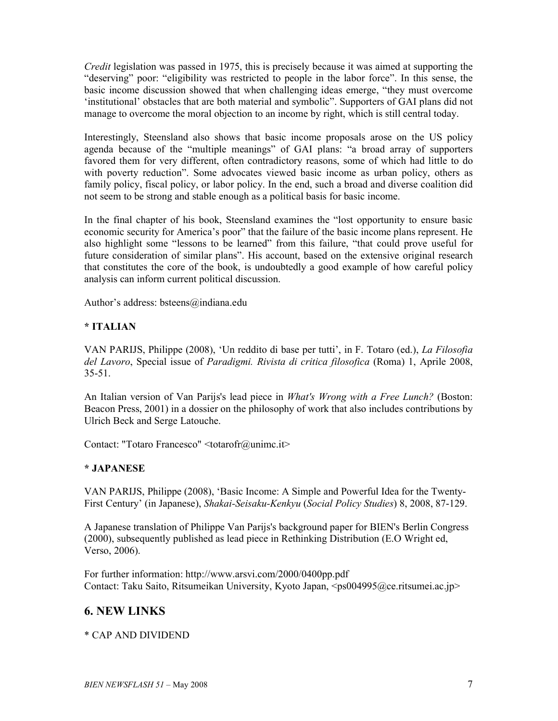Credit legislation was passed in 1975, this is precisely because it was aimed at supporting the "deserving" poor: "eligibility was restricted to people in the labor force". In this sense, the basic income discussion showed that when challenging ideas emerge, "they must overcome 'institutional' obstacles that are both material and symbolic". Supporters of GAI plans did not manage to overcome the moral objection to an income by right, which is still central today.

Interestingly, Steensland also shows that basic income proposals arose on the US policy agenda because of the "multiple meanings" of GAI plans: "a broad array of supporters favored them for very different, often contradictory reasons, some of which had little to do with poverty reduction". Some advocates viewed basic income as urban policy, others as family policy, fiscal policy, or labor policy. In the end, such a broad and diverse coalition did not seem to be strong and stable enough as a political basis for basic income.

In the final chapter of his book, Steensland examines the "lost opportunity to ensure basic economic security for America's poor" that the failure of the basic income plans represent. He also highlight some "lessons to be learned" from this failure, "that could prove useful for future consideration of similar plans". His account, based on the extensive original research that constitutes the core of the book, is undoubtedly a good example of how careful policy analysis can inform current political discussion.

Author's address: bsteens@indiana.edu

## \* ITALIAN

VAN PARIJS, Philippe (2008), 'Un reddito di base per tutti', in F. Totaro (ed.), La Filosofia del Lavoro, Special issue of Paradigmi. Rivista di critica filosofica (Roma) 1, Aprile 2008, 35-51.

An Italian version of Van Parijs's lead piece in What's Wrong with a Free Lunch? (Boston: Beacon Press, 2001) in a dossier on the philosophy of work that also includes contributions by Ulrich Beck and Serge Latouche.

Contact: "Totaro Francesco" <totarofr@unimc.it>

## \* JAPANESE

VAN PARIJS, Philippe (2008), 'Basic Income: A Simple and Powerful Idea for the Twenty-First Century' (in Japanese), Shakai-Seisaku-Kenkyu (Social Policy Studies) 8, 2008, 87-129.

A Japanese translation of Philippe Van Parijs's background paper for BIEN's Berlin Congress (2000), subsequently published as lead piece in Rethinking Distribution (E.O Wright ed, Verso, 2006).

For further information: http://www.arsvi.com/2000/0400pp.pdf Contact: Taku Saito, Ritsumeikan University, Kyoto Japan, <ps004995@ce.ritsumei.ac.jp>

## 6. NEW LINKS

## \* CAP AND DIVIDEND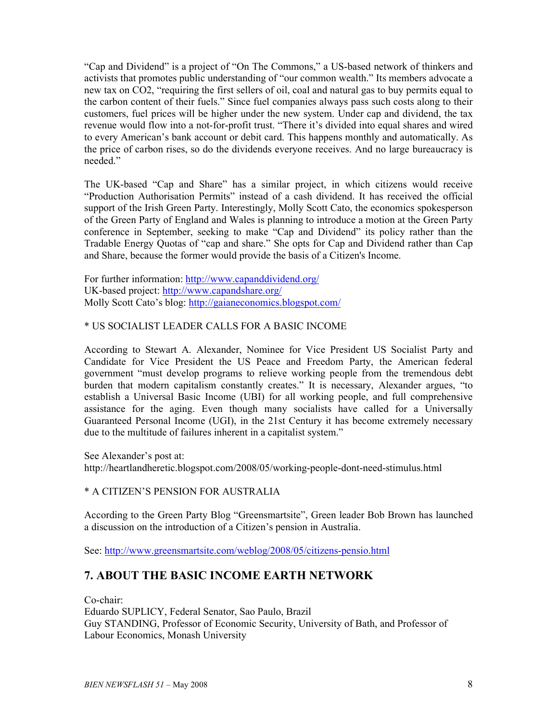"Cap and Dividend" is a project of "On The Commons," a US-based network of thinkers and activists that promotes public understanding of "our common wealth." Its members advocate a new tax on CO2, "requiring the first sellers of oil, coal and natural gas to buy permits equal to the carbon content of their fuels." Since fuel companies always pass such costs along to their customers, fuel prices will be higher under the new system. Under cap and dividend, the tax revenue would flow into a not-for-profit trust. "There it's divided into equal shares and wired to every American's bank account or debit card. This happens monthly and automatically. As the price of carbon rises, so do the dividends everyone receives. And no large bureaucracy is needed."

The UK-based "Cap and Share" has a similar project, in which citizens would receive "Production Authorisation Permits" instead of a cash dividend. It has received the official support of the Irish Green Party. Interestingly, Molly Scott Cato, the economics spokesperson of the Green Party of England and Wales is planning to introduce a motion at the Green Party conference in September, seeking to make "Cap and Dividend" its policy rather than the Tradable Energy Quotas of "cap and share." She opts for Cap and Dividend rather than Cap and Share, because the former would provide the basis of a Citizen's Income.

For further information: http://www.capanddividend.org/ UK-based project: http://www.capandshare.org/ Molly Scott Cato's blog: http://gaianeconomics.blogspot.com/

## \* US SOCIALIST LEADER CALLS FOR A BASIC INCOME

According to Stewart A. Alexander, Nominee for Vice President US Socialist Party and Candidate for Vice President the US Peace and Freedom Party, the American federal government "must develop programs to relieve working people from the tremendous debt burden that modern capitalism constantly creates." It is necessary, Alexander argues, "to establish a Universal Basic Income (UBI) for all working people, and full comprehensive assistance for the aging. Even though many socialists have called for a Universally Guaranteed Personal Income (UGI), in the 21st Century it has become extremely necessary due to the multitude of failures inherent in a capitalist system."

See Alexander's post at: http://heartlandheretic.blogspot.com/2008/05/working-people-dont-need-stimulus.html

## \* A CITIZEN'S PENSION FOR AUSTRALIA

According to the Green Party Blog "Greensmartsite", Green leader Bob Brown has launched a discussion on the introduction of a Citizen's pension in Australia.

See: http://www.greensmartsite.com/weblog/2008/05/citizens-pensio.html

## 7. ABOUT THE BASIC INCOME EARTH NETWORK

Co-chair:

Eduardo SUPLICY, Federal Senator, Sao Paulo, Brazil Guy STANDING, Professor of Economic Security, University of Bath, and Professor of Labour Economics, Monash University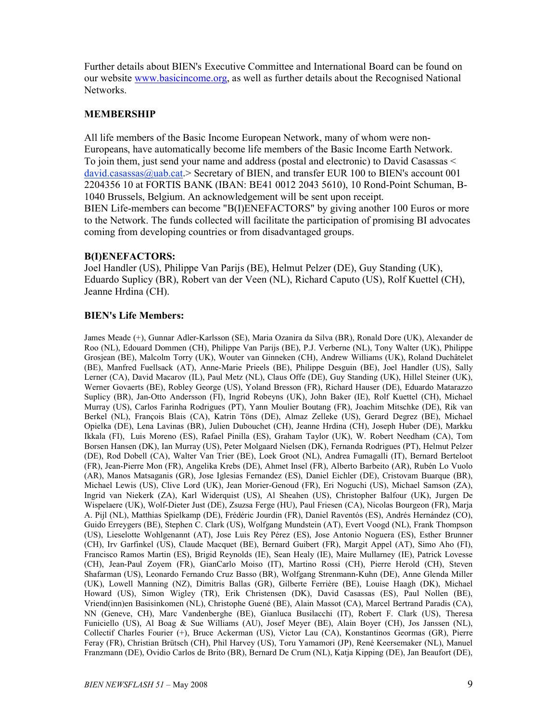Further details about BIEN's Executive Committee and International Board can be found on our website www.basicincome.org, as well as further details about the Recognised National Networks.

#### MEMBERSHIP

All life members of the Basic Income European Network, many of whom were non-Europeans, have automatically become life members of the Basic Income Earth Network. To join them, just send your name and address (postal and electronic) to David Casassas < david.casassas@uab.cat.> Secretary of BIEN, and transfer EUR 100 to BIEN's account 001 2204356 10 at FORTIS BANK (IBAN: BE41 0012 2043 5610), 10 Rond-Point Schuman, B-1040 Brussels, Belgium. An acknowledgement will be sent upon receipt. BIEN Life-members can become "B(I)ENEFACTORS" by giving another 100 Euros or more to the Network. The funds collected will facilitate the participation of promising BI advocates coming from developing countries or from disadvantaged groups.

#### B(I)ENEFACTORS:

Joel Handler (US), Philippe Van Parijs (BE), Helmut Pelzer (DE), Guy Standing (UK), Eduardo Suplicy (BR), Robert van der Veen (NL), Richard Caputo (US), Rolf Kuettel (CH), Jeanne Hrdina (CH).

#### BIEN's Life Members:

James Meade (+), Gunnar Adler-Karlsson (SE), Maria Ozanira da Silva (BR), Ronald Dore (UK), Alexander de Roo (NL), Edouard Dommen (CH), Philippe Van Parijs (BE), P.J. Verberne (NL), Tony Walter (UK), Philippe Grosjean (BE), Malcolm Torry (UK), Wouter van Ginneken (CH), Andrew Williams (UK), Roland Duchâtelet (BE), Manfred Fuellsack (AT), Anne-Marie Prieels (BE), Philippe Desguin (BE), Joel Handler (US), Sally Lerner (CA), David Macarov (IL), Paul Metz (NL), Claus Offe (DE), Guy Standing (UK), Hillel Steiner (UK), Werner Govaerts (BE), Robley George (US), Yoland Bresson (FR), Richard Hauser (DE), Eduardo Matarazzo Suplicy (BR), Jan-Otto Andersson (FI), Ingrid Robeyns (UK), John Baker (IE), Rolf Kuettel (CH), Michael Murray (US), Carlos Farinha Rodrigues (PT), Yann Moulier Boutang (FR), Joachim Mitschke (DE), Rik van Berkel (NL), François Blais (CA), Katrin Töns (DE), Almaz Zelleke (US), Gerard Degrez (BE), Michael Opielka (DE), Lena Lavinas (BR), Julien Dubouchet (CH), Jeanne Hrdina (CH), Joseph Huber (DE), Markku Ikkala (FI), Luis Moreno (ES), Rafael Pinilla (ES), Graham Taylor (UK), W. Robert Needham (CA), Tom Borsen Hansen (DK), Ian Murray (US), Peter Molgaard Nielsen (DK), Fernanda Rodrigues (PT), Helmut Pelzer (DE), Rod Dobell (CA), Walter Van Trier (BE), Loek Groot (NL), Andrea Fumagalli (IT), Bernard Berteloot (FR), Jean-Pierre Mon (FR), Angelika Krebs (DE), Ahmet Insel (FR), Alberto Barbeito (AR), Rubén Lo Vuolo (AR), Manos Matsaganis (GR), Jose Iglesias Fernandez (ES), Daniel Eichler (DE), Cristovam Buarque (BR), Michael Lewis (US), Clive Lord (UK), Jean Morier-Genoud (FR), Eri Noguchi (US), Michael Samson (ZA), Ingrid van Niekerk (ZA), Karl Widerquist (US), Al Sheahen (US), Christopher Balfour (UK), Jurgen De Wispelaere (UK), Wolf-Dieter Just (DE), Zsuzsa Ferge (HU), Paul Friesen (CA), Nicolas Bourgeon (FR), Marja A. Pijl (NL), Matthias Spielkamp (DE), Frédéric Jourdin (FR), Daniel Raventós (ES), Andrés Hernández (CO), Guido Erreygers (BE), Stephen C. Clark (US), Wolfgang Mundstein (AT), Evert Voogd (NL), Frank Thompson (US), Lieselotte Wohlgenannt (AT), Jose Luis Rey Pérez (ES), Jose Antonio Noguera (ES), Esther Brunner (CH), Irv Garfinkel (US), Claude Macquet (BE), Bernard Guibert (FR), Margit Appel (AT), Simo Aho (FI), Francisco Ramos Martin (ES), Brigid Reynolds (IE), Sean Healy (IE), Maire Mullarney (IE), Patrick Lovesse (CH), Jean-Paul Zoyem (FR), GianCarlo Moiso (IT), Martino Rossi (CH), Pierre Herold (CH), Steven Shafarman (US), Leonardo Fernando Cruz Basso (BR), Wolfgang Strenmann-Kuhn (DE), Anne Glenda Miller (UK), Lowell Manning (NZ), Dimitris Ballas (GR), Gilberte Ferrière (BE), Louise Haagh (DK), Michael Howard (US), Simon Wigley (TR), Erik Christensen (DK), David Casassas (ES), Paul Nollen (BE), Vriend(inn)en Basisinkomen (NL), Christophe Guené (BE), Alain Massot (CA), Marcel Bertrand Paradis (CA), NN (Geneve, CH), Marc Vandenberghe (BE), Gianluca Busilacchi (IT), Robert F. Clark (US), Theresa Funiciello (US), Al Boag & Sue Williams (AU), Josef Meyer (BE), Alain Boyer (CH), Jos Janssen (NL), Collectif Charles Fourier (+), Bruce Ackerman (US), Victor Lau (CA), Konstantinos Geormas (GR), Pierre Feray (FR), Christian Brütsch (CH), Phil Harvey (US), Toru Yamamori (JP), René Keersemaker (NL), Manuel Franzmann (DE), Ovidio Carlos de Brito (BR), Bernard De Crum (NL), Katja Kipping (DE), Jan Beaufort (DE),